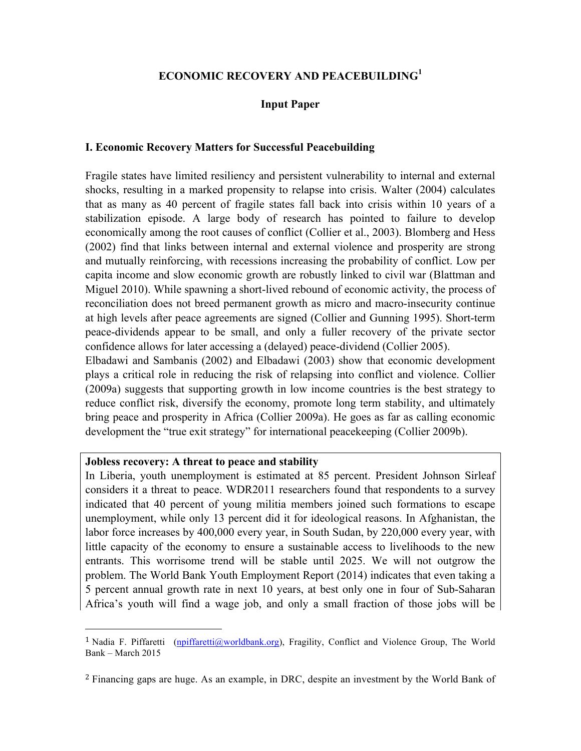# **ECONOMIC RECOVERY AND PEACEBUILDING<sup>1</sup>**

# **Input Paper**

#### **I. Economic Recovery Matters for Successful Peacebuilding**

Fragile states have limited resiliency and persistent vulnerability to internal and external shocks, resulting in a marked propensity to relapse into crisis. Walter (2004) calculates that as many as 40 percent of fragile states fall back into crisis within 10 years of a stabilization episode. A large body of research has pointed to failure to develop economically among the root causes of conflict (Collier et al., 2003). Blomberg and Hess (2002) find that links between internal and external violence and prosperity are strong and mutually reinforcing, with recessions increasing the probability of conflict. Low per capita income and slow economic growth are robustly linked to civil war (Blattman and Miguel 2010). While spawning a short-lived rebound of economic activity, the process of reconciliation does not breed permanent growth as micro and macro-insecurity continue at high levels after peace agreements are signed (Collier and Gunning 1995). Short-term peace-dividends appear to be small, and only a fuller recovery of the private sector confidence allows for later accessing a (delayed) peace-dividend (Collier 2005).

Elbadawi and Sambanis (2002) and Elbadawi (2003) show that economic development plays a critical role in reducing the risk of relapsing into conflict and violence. Collier (2009a) suggests that supporting growth in low income countries is the best strategy to reduce conflict risk, diversify the economy, promote long term stability, and ultimately bring peace and prosperity in Africa (Collier 2009a). He goes as far as calling economic development the "true exit strategy" for international peacekeeping (Collier 2009b).

#### **Jobless recovery: A threat to peace and stability**

!!!!!!!!!!!!!!!!!!!!!!!!!!!!!!!!!!!!!!!!!!!!!!!!!!!!!!!

In Liberia, youth unemployment is estimated at 85 percent. President Johnson Sirleaf considers it a threat to peace. WDR2011 researchers found that respondents to a survey indicated that 40 percent of young militia members joined such formations to escape unemployment, while only 13 percent did it for ideological reasons. In Afghanistan, the labor force increases by 400,000 every year, in South Sudan, by 220,000 every year, with little capacity of the economy to ensure a sustainable access to livelihoods to the new entrants. This worrisome trend will be stable until 2025. We will not outgrow the problem. The World Bank Youth Employment Report (2014) indicates that even taking a 5 percent annual growth rate in next 10 years, at best only one in four of Sub-Saharan Africa's youth will find a wage job, and only a small fraction of those jobs will be

<sup>&</sup>lt;sup>1</sup> Nadia F. Piffaretti (npiffaretti@worldbank.org), Fragility, Conflict and Violence Group, The World Bank – March 2015

<sup>2</sup> Financing gaps are huge. As an example, in DRC, despite an investment by the World Bank of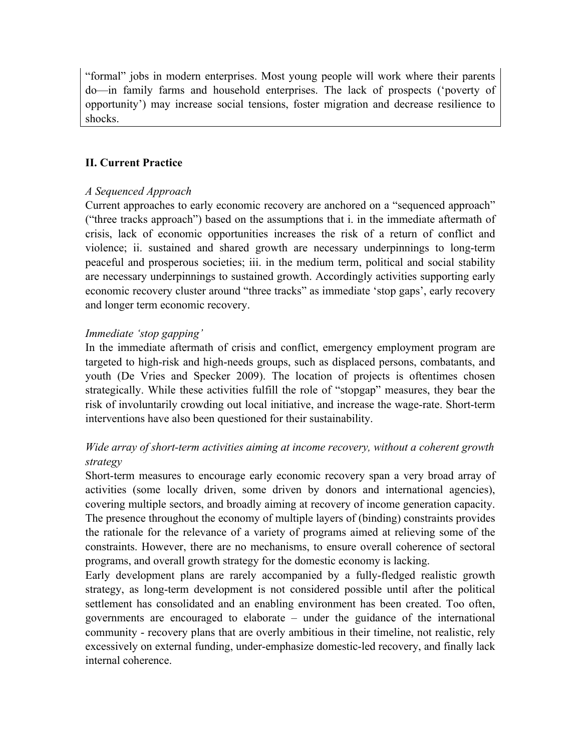"formal" jobs in modern enterprises. Most young people will work where their parents do—in family farms and household enterprises. The lack of prospects ('poverty of opportunity') may increase social tensions, foster migration and decrease resilience to shocks.

# **II. Current Practice**

# *A Sequenced Approach*

Current approaches to early economic recovery are anchored on a "sequenced approach" ("three tracks approach") based on the assumptions that i. in the immediate aftermath of crisis, lack of economic opportunities increases the risk of a return of conflict and violence; ii. sustained and shared growth are necessary underpinnings to long-term peaceful and prosperous societies; iii. in the medium term, political and social stability are necessary underpinnings to sustained growth. Accordingly activities supporting early economic recovery cluster around "three tracks" as immediate 'stop gaps', early recovery and longer term economic recovery.

# *Immediate 'stop gapping'*

In the immediate aftermath of crisis and conflict, emergency employment program are targeted to high-risk and high-needs groups, such as displaced persons, combatants, and youth (De Vries and Specker 2009). The location of projects is oftentimes chosen strategically. While these activities fulfill the role of "stopgap" measures, they bear the risk of involuntarily crowding out local initiative, and increase the wage-rate. Short-term interventions have also been questioned for their sustainability.

# *Wide array of short-term activities aiming at income recovery, without a coherent growth strategy*

Short-term measures to encourage early economic recovery span a very broad array of activities (some locally driven, some driven by donors and international agencies), covering multiple sectors, and broadly aiming at recovery of income generation capacity. The presence throughout the economy of multiple layers of (binding) constraints provides the rationale for the relevance of a variety of programs aimed at relieving some of the constraints. However, there are no mechanisms, to ensure overall coherence of sectoral programs, and overall growth strategy for the domestic economy is lacking.

Early development plans are rarely accompanied by a fully-fledged realistic growth strategy, as long-term development is not considered possible until after the political settlement has consolidated and an enabling environment has been created. Too often, governments are encouraged to elaborate – under the guidance of the international community - recovery plans that are overly ambitious in their timeline, not realistic, rely excessively on external funding, under-emphasize domestic-led recovery, and finally lack internal coherence.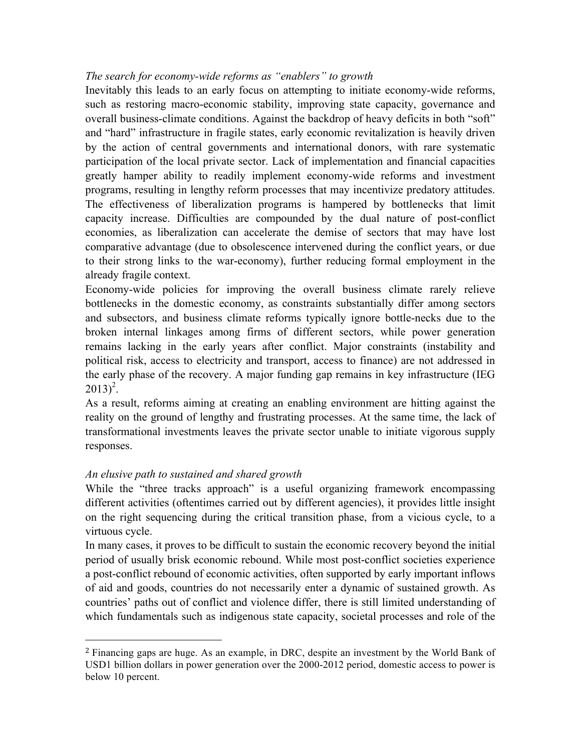### *The search for economy-wide reforms as "enablers" to growth*

Inevitably this leads to an early focus on attempting to initiate economy-wide reforms, such as restoring macro-economic stability, improving state capacity, governance and overall business-climate conditions. Against the backdrop of heavy deficits in both "soft" and "hard" infrastructure in fragile states, early economic revitalization is heavily driven by the action of central governments and international donors, with rare systematic participation of the local private sector. Lack of implementation and financial capacities greatly hamper ability to readily implement economy-wide reforms and investment programs, resulting in lengthy reform processes that may incentivize predatory attitudes. The effectiveness of liberalization programs is hampered by bottlenecks that limit capacity increase. Difficulties are compounded by the dual nature of post-conflict economies, as liberalization can accelerate the demise of sectors that may have lost comparative advantage (due to obsolescence intervened during the conflict years, or due to their strong links to the war-economy), further reducing formal employment in the already fragile context.

Economy-wide policies for improving the overall business climate rarely relieve bottlenecks in the domestic economy, as constraints substantially differ among sectors and subsectors, and business climate reforms typically ignore bottle-necks due to the broken internal linkages among firms of different sectors, while power generation remains lacking in the early years after conflict. Major constraints (instability and political risk, access to electricity and transport, access to finance) are not addressed in the early phase of the recovery. A major funding gap remains in key infrastructure (IEG  $2013)^2$ .

As a result, reforms aiming at creating an enabling environment are hitting against the reality on the ground of lengthy and frustrating processes. At the same time, the lack of transformational investments leaves the private sector unable to initiate vigorous supply responses.

# *An elusive path to sustained and shared growth*

!!!!!!!!!!!!!!!!!!!!!!!!!!!!!!!!!!!!!!!!!!!!!!!!!!!!!!!

While the "three tracks approach" is a useful organizing framework encompassing different activities (oftentimes carried out by different agencies), it provides little insight on the right sequencing during the critical transition phase, from a vicious cycle, to a virtuous cycle.

In many cases, it proves to be difficult to sustain the economic recovery beyond the initial period of usually brisk economic rebound. While most post-conflict societies experience a post-conflict rebound of economic activities, often supported by early important inflows of aid and goods, countries do not necessarily enter a dynamic of sustained growth. As countries' paths out of conflict and violence differ, there is still limited understanding of which fundamentals such as indigenous state capacity, societal processes and role of the

<sup>2</sup> Financing gaps are huge. As an example, in DRC, despite an investment by the World Bank of USD1 billion dollars in power generation over the 2000-2012 period, domestic access to power is below 10 percent.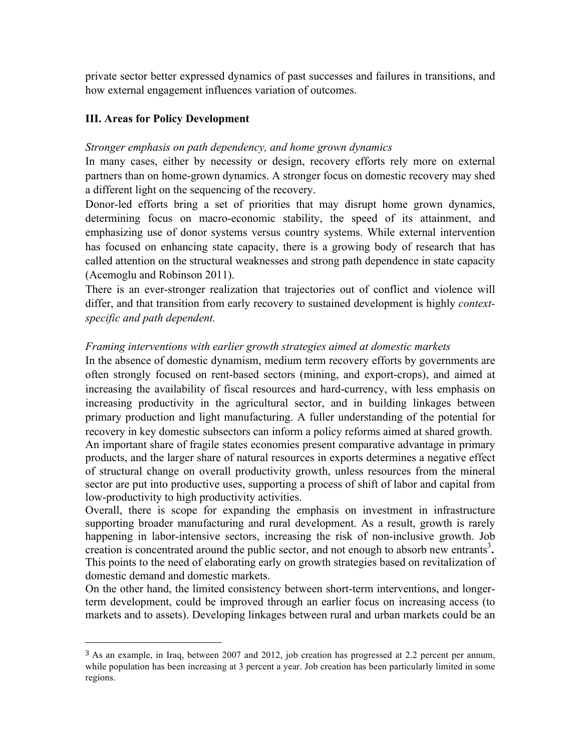private sector better expressed dynamics of past successes and failures in transitions, and how external engagement influences variation of outcomes.

# **III. Areas for Policy Development**

!!!!!!!!!!!!!!!!!!!!!!!!!!!!!!!!!!!!!!!!!!!!!!!!!!!!!!!

### *Stronger emphasis on path dependency, and home grown dynamics*

In many cases, either by necessity or design, recovery efforts rely more on external partners than on home-grown dynamics. A stronger focus on domestic recovery may shed a different light on the sequencing of the recovery.

Donor-led efforts bring a set of priorities that may disrupt home grown dynamics, determining focus on macro-economic stability, the speed of its attainment, and emphasizing use of donor systems versus country systems. While external intervention has focused on enhancing state capacity, there is a growing body of research that has called attention on the structural weaknesses and strong path dependence in state capacity (Acemoglu and Robinson 2011).

There is an ever-stronger realization that trajectories out of conflict and violence will differ, and that transition from early recovery to sustained development is highly *contextspecific and path dependent.*

# *Framing interventions with earlier growth strategies aimed at domestic markets*

In the absence of domestic dynamism, medium term recovery efforts by governments are often strongly focused on rent-based sectors (mining, and export-crops), and aimed at increasing the availability of fiscal resources and hard-currency, with less emphasis on increasing productivity in the agricultural sector, and in building linkages between primary production and light manufacturing. A fuller understanding of the potential for recovery in key domestic subsectors can inform a policy reforms aimed at shared growth. An important share of fragile states economies present comparative advantage in primary products, and the larger share of natural resources in exports determines a negative effect of structural change on overall productivity growth, unless resources from the mineral sector are put into productive uses, supporting a process of shift of labor and capital from low-productivity to high productivity activities.

Overall, there is scope for expanding the emphasis on investment in infrastructure supporting broader manufacturing and rural development. As a result, growth is rarely happening in labor-intensive sectors, increasing the risk of non-inclusive growth. Job creation is concentrated around the public sector, and not enough to absorb new entrants<sup>3</sup>. This points to the need of elaborating early on growth strategies based on revitalization of domestic demand and domestic markets.

On the other hand, the limited consistency between short-term interventions, and longerterm development, could be improved through an earlier focus on increasing access (to markets and to assets). Developing linkages between rural and urban markets could be an

 $3$  As an example, in Iraq, between 2007 and 2012, job creation has progressed at 2.2 percent per annum, while population has been increasing at 3 percent a year. Job creation has been particularly limited in some regions.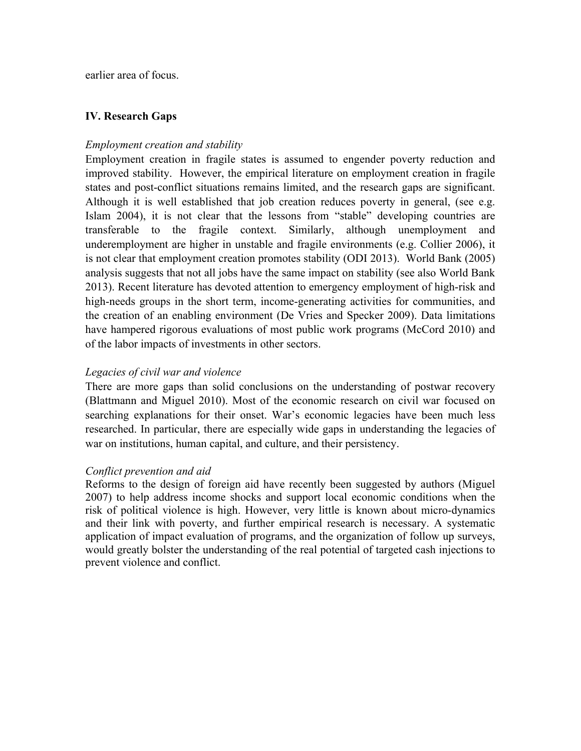earlier area of focus.

# **IV. Research Gaps**

# *Employment creation and stability*

Employment creation in fragile states is assumed to engender poverty reduction and improved stability. However, the empirical literature on employment creation in fragile states and post-conflict situations remains limited, and the research gaps are significant. Although it is well established that job creation reduces poverty in general, (see e.g. Islam 2004), it is not clear that the lessons from "stable" developing countries are transferable to the fragile context. Similarly, although unemployment and underemployment are higher in unstable and fragile environments (e.g. Collier 2006), it is not clear that employment creation promotes stability (ODI 2013). World Bank (2005) analysis suggests that not all jobs have the same impact on stability (see also World Bank 2013). Recent literature has devoted attention to emergency employment of high-risk and high-needs groups in the short term, income-generating activities for communities, and the creation of an enabling environment (De Vries and Specker 2009). Data limitations have hampered rigorous evaluations of most public work programs (McCord 2010) and of the labor impacts of investments in other sectors.

# *Legacies of civil war and violence*

There are more gaps than solid conclusions on the understanding of postwar recovery (Blattmann and Miguel 2010). Most of the economic research on civil war focused on searching explanations for their onset. War's economic legacies have been much less researched. In particular, there are especially wide gaps in understanding the legacies of war on institutions, human capital, and culture, and their persistency.

### *Conflict prevention and aid*

Reforms to the design of foreign aid have recently been suggested by authors (Miguel 2007) to help address income shocks and support local economic conditions when the risk of political violence is high. However, very little is known about micro-dynamics and their link with poverty, and further empirical research is necessary. A systematic application of impact evaluation of programs, and the organization of follow up surveys, would greatly bolster the understanding of the real potential of targeted cash injections to prevent violence and conflict.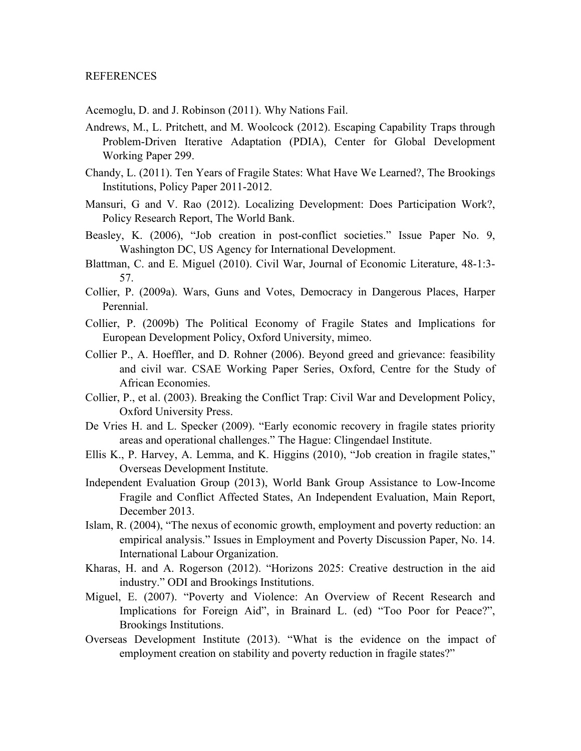#### REFERENCES

Acemoglu, D. and J. Robinson (2011). Why Nations Fail.

- Andrews, M., L. Pritchett, and M. Woolcock (2012). Escaping Capability Traps through Problem-Driven Iterative Adaptation (PDIA), Center for Global Development Working Paper 299.
- Chandy, L. (2011). Ten Years of Fragile States: What Have We Learned?, The Brookings Institutions, Policy Paper 2011-2012.
- Mansuri, G and V. Rao (2012). Localizing Development: Does Participation Work?, Policy Research Report, The World Bank.
- Beasley, K. (2006), "Job creation in post-conflict societies." Issue Paper No. 9, Washington DC, US Agency for International Development.
- Blattman, C. and E. Miguel (2010). Civil War, Journal of Economic Literature, 48-1:3- 57.
- Collier, P. (2009a). Wars, Guns and Votes, Democracy in Dangerous Places, Harper Perennial.
- Collier, P. (2009b) The Political Economy of Fragile States and Implications for European Development Policy, Oxford University, mimeo.
- Collier P., A. Hoeffler, and D. Rohner (2006). Beyond greed and grievance: feasibility and civil war. CSAE Working Paper Series, Oxford, Centre for the Study of African Economies.
- Collier, P., et al. (2003). Breaking the Conflict Trap: Civil War and Development Policy, Oxford University Press.
- De Vries H. and L. Specker (2009). "Early economic recovery in fragile states priority areas and operational challenges." The Hague: Clingendael Institute.
- Ellis K., P. Harvey, A. Lemma, and K. Higgins (2010), "Job creation in fragile states," Overseas Development Institute.
- Independent Evaluation Group (2013), World Bank Group Assistance to Low-Income Fragile and Conflict Affected States, An Independent Evaluation, Main Report, December 2013.
- Islam, R. (2004), "The nexus of economic growth, employment and poverty reduction: an empirical analysis." Issues in Employment and Poverty Discussion Paper, No. 14. International Labour Organization.
- Kharas, H. and A. Rogerson (2012). "Horizons 2025: Creative destruction in the aid industry." ODI and Brookings Institutions.
- Miguel, E. (2007). "Poverty and Violence: An Overview of Recent Research and Implications for Foreign Aid", in Brainard L. (ed) "Too Poor for Peace?", Brookings Institutions.
- Overseas Development Institute (2013). "What is the evidence on the impact of employment creation on stability and poverty reduction in fragile states?"